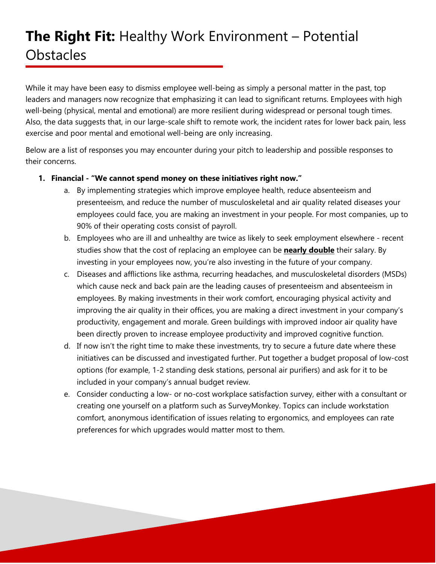While it may have been easy to dismiss employee well-being as simply a personal matter in the past, top leaders and managers now recognize that emphasizing it can lead to significant returns. Employees with high well-being (physical, mental and emotional) are more resilient during widespread or personal tough times. Also, the data suggests that, in our large-scale shift to remote work, the incident rates for lower back pain, less exercise and poor mental and emotional well-being are only increasing.

Below are a list of responses you may encounter during your pitch to leadership and possible responses to their concerns.

### **1. Financial - "We cannot spend money on these initiatives right now."**

- a. By implementing strategies which improve employee health, reduce absenteeism and presenteeism, and reduce the number of musculoskeletal and air quality related diseases your employees could face, you are making an investment in your people. For most companies, up to 90% of their operating costs consist of payroll.
- b. Employees who are ill and unhealthy are twice as likely to seek employment elsewhere recent studies show that the cost of replacing an employee can be **nearly double** their salary. By investing in your employees now, you're also investing in the future of your company.
- c. Diseases and afflictions like asthma, recurring headaches, and musculoskeletal disorders (MSDs) which cause neck and back pain are the leading causes of presenteeism and absenteeism in employees. By making investments in their work comfort, encouraging physical activity and improving the air quality in their offices, you are making a direct investment in your company's productivity, engagement and morale. Green buildings with improved indoor air quality have been directly proven to increase employee productivity and improved cognitive function.
- d. If now isn't the right time to make these investments, try to secure a future date where these initiatives can be discussed and investigated further. Put together a budget proposal of low-cost options (for example, 1-2 standing desk stations, personal air purifiers) and ask for it to be included in your company's annual budget review.
- e. Consider conducting a low- or no-cost workplace satisfaction survey, either with a consultant or creating one yourself on a platform such as SurveyMonkey. Topics can include workstation comfort, anonymous identification of issues relating to ergonomics, and employees can rate preferences for which upgrades would matter most to them.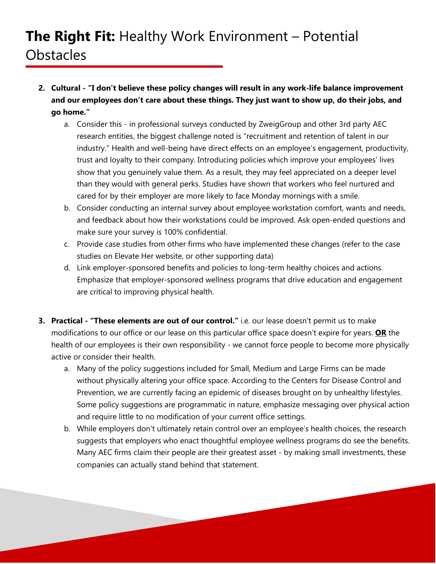- **2. Cultural - "I don't believe these policy changes will result in any work-life balance improvement and our employees don't care about these things. They just want to show up, do their jobs, and go home."**
	- a. Consider this in professional surveys conducted by ZweigGroup and other 3rd party AEC research entities, the biggest challenge noted is "recruitment and retention of talent in our industry." Health and well-being have direct effects on an employee's engagement, productivity, trust and loyalty to their company. Introducing policies which improve your employees' lives show that you genuinely value them. As a result, they may feel appreciated on a deeper level than they would with general perks. Studies have shown that workers who feel nurtured and cared for by their employer are more likely to face Monday mornings with a smile.
	- b. Consider conducting an internal survey about employee workstation comfort, wants and needs, and feedback about how their workstations could be improved. Ask open-ended questions and make sure your survey is 100% confidential.
	- c. Provide case studies from other firms who have implemented these changes (refer to the case studies on Elevate Her website, or other supporting data)
	- d. Link employer-sponsored benefits and policies to long-term healthy choices and actions. Emphasize that employer-sponsored wellness programs that drive education and engagement are critical to improving physical health.
- **3. Practical - "These elements are out of our control."** i.e. our lease doesn't permit us to make modifications to our office or our lease on this particular office space doesn't expire for years. **OR** the health of our employees is their own responsibility - we cannot force people to become more physically active or consider their health.
	- a. Many of the policy suggestions included for Small, Medium and Large Firms can be made without physically altering your office space. According to the Centers for Disease Control and Prevention, we are currently facing an epidemic of diseases brought on by unhealthy lifestyles. Some policy suggestions are programmatic in nature, emphasize messaging over physical action and require little to no modification of your current office settings.
	- b. While employers don't ultimately retain control over an employee's health choices, the research suggests that employers who enact thoughtful employee wellness programs do see the benefits. Many AEC firms claim their people are their greatest asset - by making small investments, these companies can actually stand behind that statement.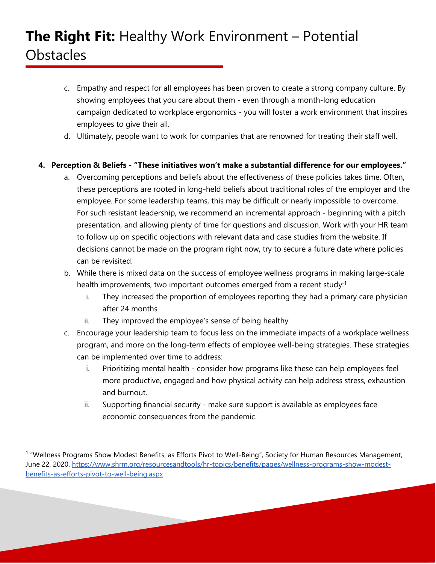- c. Empathy and respect for all employees has been proven to create a strong company culture. By showing employees that you care about them - even through a month-long education campaign dedicated to workplace ergonomics - you will foster a work environment that inspires employees to give their all.
- d. Ultimately, people want to work for companies that are renowned for treating their staff well.

### **4. Perception & Beliefs - "These initiatives won't make a substantial difference for our employees."**

- a. Overcoming perceptions and beliefs about the effectiveness of these policies takes time. Often, these perceptions are rooted in long-held beliefs about traditional roles of the employer and the employee. For some leadership teams, this may be difficult or nearly impossible to overcome. For such resistant leadership, we recommend an incremental approach - beginning with a pitch presentation, and allowing plenty of time for questions and discussion. Work with your HR team to follow up on specific objections with relevant data and case studies from the website. If decisions cannot be made on the program right now, try to secure a future date where policies can be revisited.
- b. While there is mixed data on the success of employee wellness programs in making large-scale health improvements, two important outcomes emerged from a recent study:<sup>1</sup>
	- i. They increased the proportion of employees reporting they had a primary care physician after 24 months
	- ii. They improved the employee's sense of being healthy
- c. Encourage your leadership team to focus less on the immediate impacts of a workplace wellness program, and more on the long-term effects of employee well-being strategies. These strategies can be implemented over time to address:
	- i. Prioritizing mental health consider how programs like these can help employees feel more productive, engaged and how physical activity can help address stress, exhaustion and burnout.
	- ii. Supporting financial security make sure support is available as employees face economic consequences from the pandemic.

<span id="page-2-0"></span><sup>&</sup>lt;sup>1</sup> "Wellness Programs Show Modest Benefits, as Efforts Pivot to Well-Being", Society for Human Resources Management, June 22, 2020. [https://www.shrm.org/resourcesandtools/hr-topics/benefits/pages/wellness-programs-show-modest](https://www.shrm.org/resourcesandtools/hr-topics/benefits/pages/wellness-programs-show-modest-benefits-as-efforts-pivot-to-well-being.aspx)[benefits-as-efforts-pivot-to-well-being.aspx](https://www.shrm.org/resourcesandtools/hr-topics/benefits/pages/wellness-programs-show-modest-benefits-as-efforts-pivot-to-well-being.aspx)